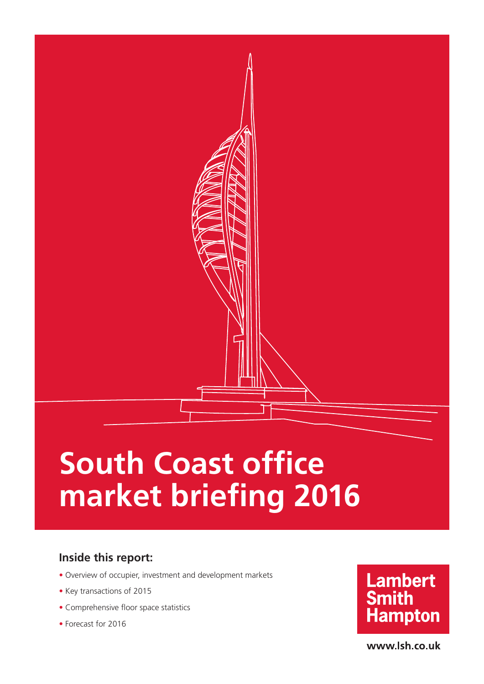# **South Coast office market briefing 2016**

### **Inside this report:**

- Overview of occupier, investment and development markets
- Key transactions of 2015
- Comprehensive floor space statistics
- Forecast for 2016



www.lsh.co.uk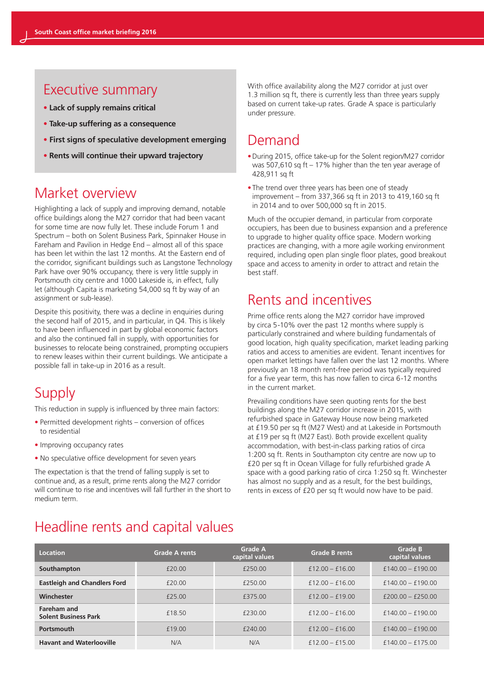### Executive summary

- **• Lack of supply remains critical**
- **• Take-up suffering as a consequence**
- **• First signs of speculative development emerging**
- **• Rents will continue their upward trajectory**

### Market overview

Highlighting a lack of supply and improving demand, notable office buildings along the M27 corridor that had been vacant for some time are now fully let. These include Forum 1 and Spectrum – both on Solent Business Park, Spinnaker House in Fareham and Pavilion in Hedge End – almost all of this space has been let within the last 12 months. At the Eastern end of the corridor, significant buildings such as Langstone Technology Park have over 90% occupancy, there is very little supply in Portsmouth city centre and 1000 Lakeside is, in effect, fully let (although Capita is marketing 54,000 sq ft by way of an assignment or sub-lease).

Despite this positivity, there was a decline in enquiries during the second half of 2015, and in particular, in Q4. This is likely to have been influenced in part by global economic factors and also the continued fall in supply, with opportunities for businesses to relocate being constrained, prompting occupiers to renew leases within their current buildings. We anticipate a possible fall in take-up in 2016 as a result.

### **Supply**

This reduction in supply is influenced by three main factors:

- **•** Permitted development rights conversion of offices to residential
- **•** Improving occupancy rates
- **•** No speculative office development for seven years

The expectation is that the trend of falling supply is set to continue and, as a result, prime rents along the M27 corridor will continue to rise and incentives will fall further in the short to medium term.

With office availability along the M27 corridor at just over 1.3 million sq ft, there is currently less than three years supply based on current take-up rates. Grade A space is particularly under pressure.

### Demand

- During 2015, office take-up for the Solent region/M27 corridor was 507,610 sq ft – 17% higher than the ten year average of 428,911 sq ft
- The trend over three years has been one of steady improvement – from 337,366 sq ft in 2013 to 419,160 sq ft in 2014 and to over 500,000 sq ft in 2015.

Much of the occupier demand, in particular from corporate occupiers, has been due to business expansion and a preference to upgrade to higher quality office space. Modern working practices are changing, with a more agile working environment required, including open plan single floor plates, good breakout space and access to amenity in order to attract and retain the best staff.

### Rents and incentives

Prime office rents along the M27 corridor have improved by circa 5-10% over the past 12 months where supply is particularly constrained and where building fundamentals of good location, high quality specification, market leading parking ratios and access to amenities are evident. Tenant incentives for open market lettings have fallen over the last 12 months. Where previously an 18 month rent-free period was typically required for a five year term, this has now fallen to circa 6-12 months in the current market.

Prevailing conditions have seen quoting rents for the best buildings along the M27 corridor increase in 2015, with refurbished space in Gateway House now being marketed at £19.50 per sq ft (M27 West) and at Lakeside in Portsmouth at £19 per sq ft (M27 East). Both provide excellent quality accommodation, with best-in-class parking ratios of circa 1:200 sq ft. Rents in Southampton city centre are now up to £20 per sq ft in Ocean Village for fully refurbished grade A space with a good parking ratio of circa 1:250 sq ft. Winchester has almost no supply and as a result, for the best buildings, rents in excess of £20 per sq ft would now have to be paid.

### Headline rents and capital values

| <b>Location</b>                                   | <b>Grade A rents</b> | <b>Grade A</b><br>capital values | <b>Grade B rents</b> | <b>Grade B</b><br>capital values |
|---------------------------------------------------|----------------------|----------------------------------|----------------------|----------------------------------|
| Southampton                                       | £20.00               | £250.00                          | $f12.00 - f16.00$    | $£140.00 - £190.00$              |
| <b>Eastleigh and Chandlers Ford</b>               | £20.00               | £250.00                          | $f12.00 - f16.00$    | $£140.00 - £190.00$              |
| Winchester                                        | £25.00               | £375.00                          | $f12.00 - f19.00$    | $f200.00 - f250.00$              |
| <b>Fareham and</b><br><b>Solent Business Park</b> | £18.50               | £230.00                          | $f12.00 - f16.00$    | $£140.00 - £190.00$              |
| <b>Portsmouth</b>                                 | £19.00               | £240.00                          | $f12.00 - f16.00$    | $£140.00 - £190.00$              |
| <b>Havant and Waterlooville</b>                   | N/A                  | N/A                              | $£12.00 - £15.00$    | $£140.00 - £175.00$              |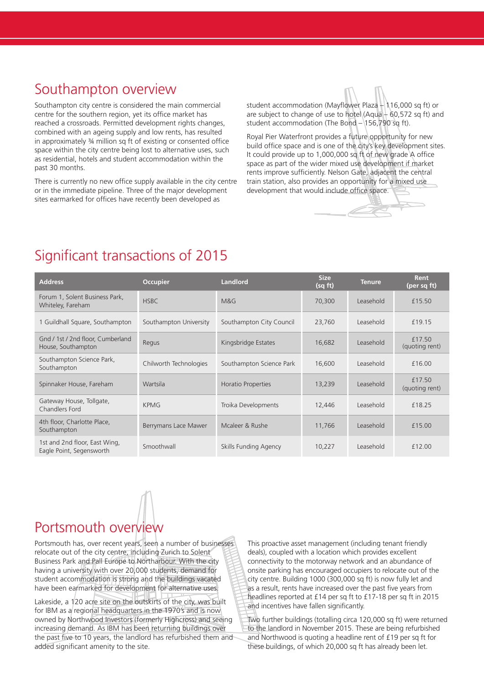### Southampton overview

Southampton city centre is considered the main commercial centre for the southern region, yet its office market has reached a crossroads. Permitted development rights changes, combined with an ageing supply and low rents, has resulted in approximately ¾ million sq ft of existing or consented office space within the city centre being lost to alternative uses, such as residential, hotels and student accommodation within the past 30 months.

There is currently no new office supply available in the city centre or in the immediate pipeline. Three of the major development sites earmarked for offices have recently been developed as

student accommodation (Mayflower Plaza – 116,000 sq ft) or are subject to change of use to hotel (Aqua – 60,572 sq ft) and student accommodation (The Bond – 156,790 sq ft).

Royal Pier Waterfront provides a future opportunity for new build office space and is one of the city's key development sites. It could provide up to 1,000,000 sq ft of new grade A office space as part of the wider mixed use development if market rents improve sufficiently. Nelson Gate, adjacent the central train station, also provides an opportunity for a mixed use development that would include office space.

### Significant transactions of 2015

| <b>Address</b>                                            | <b>Occupier</b>        | <b>Landlord</b>          | <b>Size</b><br>(sq ft) | <b>Tenure</b> | <b>Rent</b><br>(per sq ft) |
|-----------------------------------------------------------|------------------------|--------------------------|------------------------|---------------|----------------------------|
| Forum 1, Solent Business Park,<br>Whiteley, Fareham       | <b>HSBC</b>            | M&G                      | 70,300                 | Leasehold     | £15.50                     |
| 1 Guildhall Square, Southampton                           | Southampton University | Southampton City Council | 23,760                 | Leasehold     | £19.15                     |
| Gnd / 1st / 2nd floor, Cumberland<br>House, Southampton   | Regus                  | Kingsbridge Estates      | 16,682                 | Leasehold     | £17.50<br>(quoting rent)   |
| Southampton Science Park,<br>Southampton                  | Chilworth Technologies | Southampton Science Park | 16,600                 | Leasehold     | £16.00                     |
| Spinnaker House, Fareham                                  | Wartsila               | Horatio Properties       | 13,239                 | Leasehold     | £17.50<br>(quoting rent)   |
| Gateway House, Tollgate,<br>Chandlers Ford                | <b>KPMG</b>            | Troika Developments      | 12,446                 | Leasehold     | £18.25                     |
| 4th floor, Charlotte Place,<br>Southampton                | Berrymans Lace Mawer   | Mcaleer & Rushe          | 11,766                 | Leasehold     | £15.00                     |
| 1st and 2nd floor, East Wing,<br>Eagle Point, Segensworth | Smoothwall             | Skills Funding Agency    | 10,227                 | Leasehold     | £12.00                     |

## Portsmouth overview

Portsmouth has, over recent years, seen a number of businesses relocate out of the city centre, including Zurich to Solent Business Park and Pall Europe to Northarbour. With the city having a university with over 20,000 students, demand for student accommodation is strong and the buildings vacated have been earmarked for development for alternative uses. Lakeside, a 120 acre site on the outskirts of the city, was built for IBM as a regional headquarters in the 1970's and is now owned by Northwood Investors (formerly Highcross) and seeing increasing demand. As IBM has been returning buildings over the past five to 10 years, the landlord has refurbished them and added significant amenity to the site.

This proactive asset management (including tenant friendly deals), coupled with a location which provides excellent connectivity to the motorway network and an abundance of onsite parking has encouraged occupiers to relocate out of the city centre. Building 1000 (300,000 sq ft) is now fully let and as a result, rents have increased over the past five years from headlines reported at £14 per sq ft to £17-18 per sq ft in 2015 and incentives have fallen significantly.

Two further buildings (totalling circa 120,000 sq ft) were returned to the landlord in November 2015. These are being refurbished and Northwood is quoting a headline rent of £19 per sq ft for these buildings, of which 20,000 sq ft has already been let.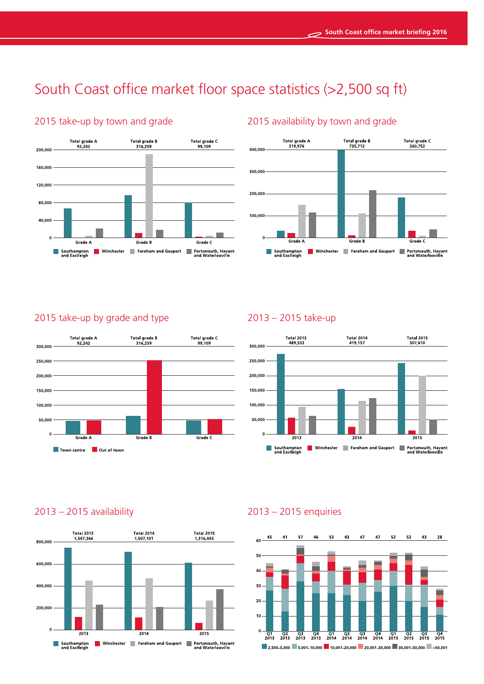## South Coast office market floor space statistics (>2,500 sq ft)



### 2015 take-up by town and grade 2015 availability by town and grade



#### 2015 take-up by grade and type



### 2013 – 2015 take-up



### 2013 – 2015 availability



### 2013 – 2015 enquiries

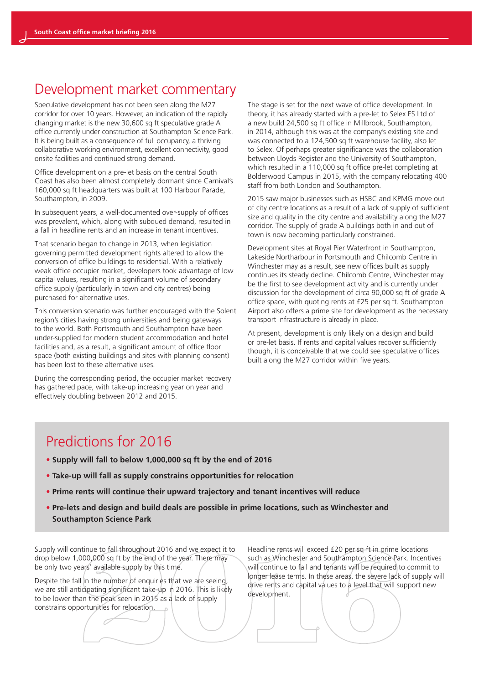### Development market commentary

Speculative development has not been seen along the M27 corridor for over 10 years. However, an indication of the rapidly changing market is the new 30,600 sq ft speculative grade A office currently under construction at Southampton Science Park. It is being built as a consequence of full occupancy, a thriving collaborative working environment, excellent connectivity, good onsite facilities and continued strong demand.

Office development on a pre-let basis on the central South Coast has also been almost completely dormant since Carnival's 160,000 sq ft headquarters was built at 100 Harbour Parade, Southampton, in 2009.

In subsequent years, a well-documented over-supply of offices was prevalent, which, along with subdued demand, resulted in a fall in headline rents and an increase in tenant incentives.

That scenario began to change in 2013, when legislation governing permitted development rights altered to allow the conversion of office buildings to residential. With a relatively weak office occupier market, developers took advantage of low capital values, resulting in a significant volume of secondary office supply (particularly in town and city centres) being purchased for alternative uses.

This conversion scenario was further encouraged with the Solent region's cities having strong universities and being gateways to the world. Both Portsmouth and Southampton have been under-supplied for modern student accommodation and hotel facilities and, as a result, a significant amount of office floor space (both existing buildings and sites with planning consent) has been lost to these alternative uses.

During the corresponding period, the occupier market recovery has gathered pace, with take-up increasing year on year and effectively doubling between 2012 and 2015.

The stage is set for the next wave of office development. In theory, it has already started with a pre-let to Selex ES Ltd of a new build 24,500 sq ft office in Millbrook, Southampton, in 2014, although this was at the company's existing site and was connected to a 124,500 sq ft warehouse facility, also let to Selex. Of perhaps greater significance was the collaboration between Lloyds Register and the University of Southampton, which resulted in a 110,000 sq ft office pre-let completing at Bolderwood Campus in 2015, with the company relocating 400 staff from both London and Southampton.

2015 saw major businesses such as HSBC and KPMG move out of city centre locations as a result of a lack of supply of sufficient size and quality in the city centre and availability along the M27 corridor. The supply of grade A buildings both in and out of town is now becoming particularly constrained.

Development sites at Royal Pier Waterfront in Southampton, Lakeside Northarbour in Portsmouth and Chilcomb Centre in Winchester may as a result, see new offices built as supply continues its steady decline. Chilcomb Centre, Winchester may be the first to see development activity and is currently under discussion for the development of circa 90,000 sq ft of grade A office space, with quoting rents at £25 per sq ft. Southampton Airport also offers a prime site for development as the necessary transport infrastructure is already in place.

At present, development is only likely on a design and build or pre-let basis. If rents and capital values recover sufficiently though, it is conceivable that we could see speculative offices built along the M27 corridor within five years.

### Predictions for 2016

- **• Supply will fall to below 1,000,000 sq ft by the end of 2016**
- **• Take-up will fall as supply constrains opportunities for relocation**
- **• Prime rents will continue their upward trajectory and tenant incentives will reduce**
- **• Pre-lets and design and build deals are possible in prime locations, such as Winchester and Southampton Science Park**

Supply will continue to fall throughout 2016 and we expect it to drop below 1,000,000 sq ft by the end of the year. There may be only two years' available supply by this time.

Despite the fall in the number of enquiries that we are seeing, we are still anticipating significant take-up in 2016. This is likely to be lower than the peak seen in 2015 as a lack of supply constrains opportunities for relocation.

Headline rents will exceed £20 per sq ft in prime locations such as Winchester and Southampton Science Park. Incentives will continue to fall and tenants will be required to commit to longer lease terms. In these areas, the severe lack of supply will drive rents and capital values to a level that will support new development.